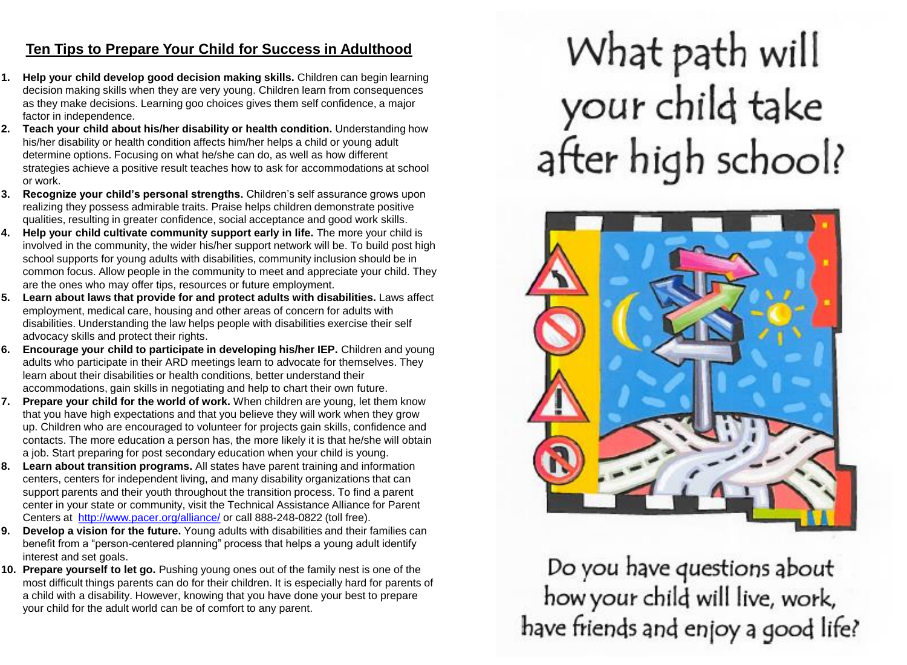#### **Ten Tips to Prepare Your Child for Success in Adulthood**

- **1. Help your child develop good decision making skills.** Children can begin learning decision making skills when they are very young. Children learn from consequences as they make decisions. Learning goo choices gives them self confidence, a major factor in independence.
- **2. Teach your child about his/her disability or health condition.** Understanding how his/her disability or health condition affects him/her helps a child or young adult determine options. Focusing on what he/she can do, as well as how different strategies achieve a positive result teaches how to ask for accommodations at school or work.
- **3. Recognize your child's personal strengths.** Children's self assurance grows upon realizing they possess admirable traits. Praise helps children demonstrate positive qualities, resulting in greater confidence, social acceptance and good work skills.
- **4. Help your child cultivate community support early in life.** The more your child is involved in the community, the wider his/her support network will be. To build post high school supports for young adults with disabilities, community inclusion should be in common focus. Allow people in the community to meet and appreciate your child. They are the ones who may offer tips, resources or future employment.
- **5. Learn about laws that provide for and protect adults with disabilities.** Laws affect employment, medical care, housing and other areas of concern for adults with disabilities. Understanding the law helps people with disabilities exercise their self advocacy skills and protect their rights.
- **6. Encourage your child to participate in developing his/her IEP.** Children and young adults who participate in their ARD meetings learn to advocate for themselves. They learn about their disabilities or health conditions, better understand their accommodations, gain skills in negotiating and help to chart their own future.
- **7. Prepare your child for the world of work.** When children are young, let them know that you have high expectations and that you believe they will work when they grow up. Children who are encouraged to volunteer for projects gain skills, confidence and contacts. The more education a person has, the more likely it is that he/she will obtain a job. Start preparing for post secondary education when your child is young.
- **8. Learn about transition programs.** All states have parent training and information centers, centers for independent living, and many disability organizations that can support parents and their youth throughout the transition process. To find a parent center in your state or community, visit the Technical Assistance Alliance for Parent Centers at <http://www.pacer.org/alliance/> or call 888-248-0822 (toll free).
- **9. Develop a vision for the future.** Young adults with disabilities and their families can benefit from a "person-centered planning" process that helps a young adult identify interest and set goals.
- **10. Prepare yourself to let go.** Pushing young ones out of the family nest is one of the most difficult things parents can do for their children. It is especially hard for parents of a child with a disability. However, knowing that you have done your best to prepare your child for the adult world can be of comfort to any parent.

# What path will your child take after high school?



Do you have questions about how your child will live, work, have friends and enjoy a good life?